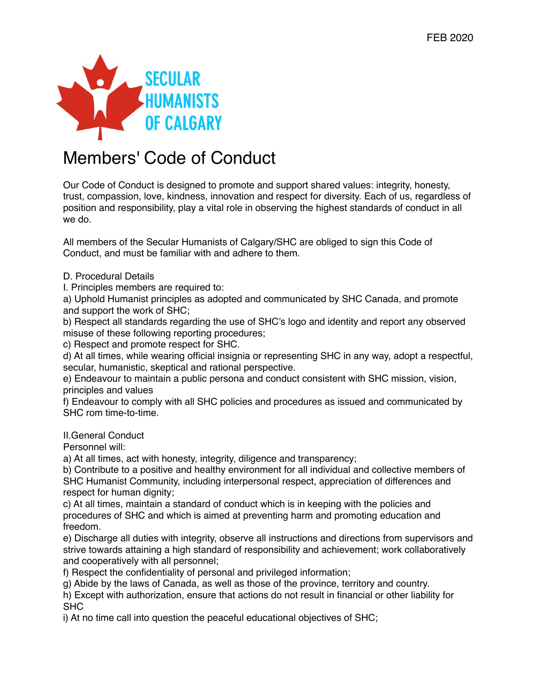

# Members' Code of Conduct

Our Code of Conduct is designed to promote and support shared values: integrity, honesty, trust, compassion, love, kindness, innovation and respect for diversity. Each of us, regardless of position and responsibility, play a vital role in observing the highest standards of conduct in all we do.

All members of the Secular Humanists of Calgary/SHC are obliged to sign this Code of Conduct, and must be familiar with and adhere to them.

D. Procedural Details

I. Principles members are required to:

a) Uphold Humanist principles as adopted and communicated by SHC Canada, and promote and support the work of SHC;

b) Respect all standards regarding the use of SHC's logo and identity and report any observed misuse of these following reporting procedures;

c) Respect and promote respect for SHC.

d) At all times, while wearing official insignia or representing SHC in any way, adopt a respectful, secular, humanistic, skeptical and rational perspective.

e) Endeavour to maintain a public persona and conduct consistent with SHC mission, vision, principles and values

f) Endeavour to comply with all SHC policies and procedures as issued and communicated by SHC rom time-to-time.

II.General Conduct

Personnel will:

a) At all times, act with honesty, integrity, diligence and transparency;

b) Contribute to a positive and healthy environment for all individual and collective members of SHC Humanist Community, including interpersonal respect, appreciation of differences and respect for human dignity;

c) At all times, maintain a standard of conduct which is in keeping with the policies and procedures of SHC and which is aimed at preventing harm and promoting education and freedom.

e) Discharge all duties with integrity, observe all instructions and directions from supervisors and strive towards attaining a high standard of responsibility and achievement; work collaboratively and cooperatively with all personnel;

f) Respect the confidentiality of personal and privileged information;

g) Abide by the laws of Canada, as well as those of the province, territory and country.

h) Except with authorization, ensure that actions do not result in financial or other liability for SHC

i) At no time call into question the peaceful educational objectives of SHC;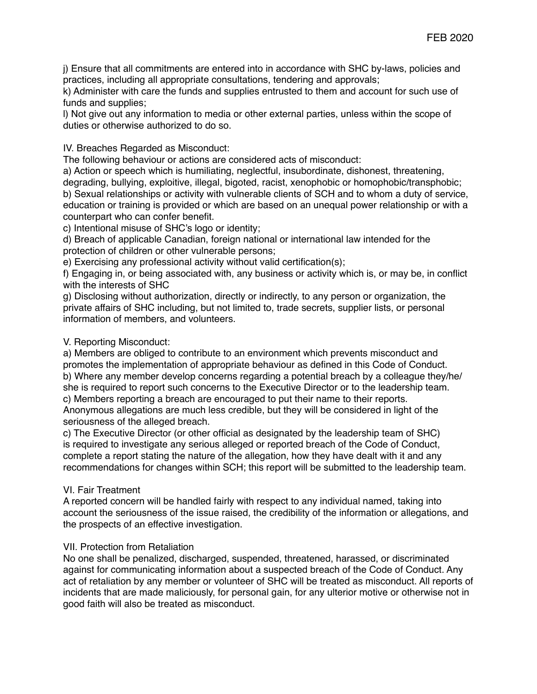j) Ensure that all commitments are entered into in accordance with SHC by-laws, policies and practices, including all appropriate consultations, tendering and approvals;

k) Administer with care the funds and supplies entrusted to them and account for such use of funds and supplies;

l) Not give out any information to media or other external parties, unless within the scope of duties or otherwise authorized to do so.

## IV. Breaches Regarded as Misconduct:

The following behaviour or actions are considered acts of misconduct:

a) Action or speech which is humiliating, neglectful, insubordinate, dishonest, threatening, degrading, bullying, exploitive, illegal, bigoted, racist, xenophobic or homophobic/transphobic; b) Sexual relationships or activity with vulnerable clients of SCH and to whom a duty of service, education or training is provided or which are based on an unequal power relationship or with a counterpart who can confer benefit.

c) Intentional misuse of SHC's logo or identity;

d) Breach of applicable Canadian, foreign national or international law intended for the protection of children or other vulnerable persons;

e) Exercising any professional activity without valid certification(s);

f) Engaging in, or being associated with, any business or activity which is, or may be, in conflict with the interests of SHC

g) Disclosing without authorization, directly or indirectly, to any person or organization, the private affairs of SHC including, but not limited to, trade secrets, supplier lists, or personal information of members, and volunteers.

### V. Reporting Misconduct:

a) Members are obliged to contribute to an environment which prevents misconduct and promotes the implementation of appropriate behaviour as defined in this Code of Conduct. b) Where any member develop concerns regarding a potential breach by a colleague they/he/ she is required to report such concerns to the Executive Director or to the leadership team. c) Members reporting a breach are encouraged to put their name to their reports. Anonymous allegations are much less credible, but they will be considered in light of the

seriousness of the alleged breach.

c) The Executive Director (or other official as designated by the leadership team of SHC) is required to investigate any serious alleged or reported breach of the Code of Conduct, complete a report stating the nature of the allegation, how they have dealt with it and any recommendations for changes within SCH; this report will be submitted to the leadership team.

## VI. Fair Treatment

A reported concern will be handled fairly with respect to any individual named, taking into account the seriousness of the issue raised, the credibility of the information or allegations, and the prospects of an effective investigation.

## VII. Protection from Retaliation

No one shall be penalized, discharged, suspended, threatened, harassed, or discriminated against for communicating information about a suspected breach of the Code of Conduct. Any act of retaliation by any member or volunteer of SHC will be treated as misconduct. All reports of incidents that are made maliciously, for personal gain, for any ulterior motive or otherwise not in good faith will also be treated as misconduct.